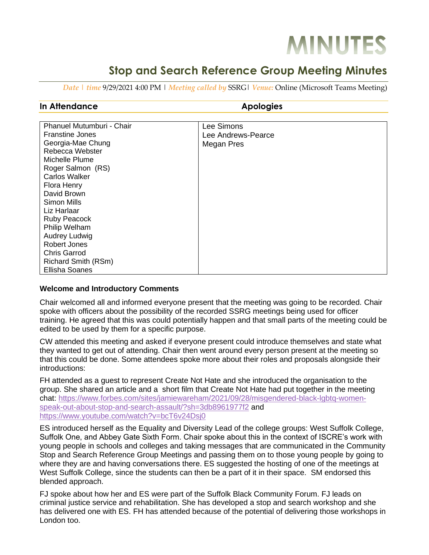# **MINUTES**

# **Stop and Search Reference Group Meeting Minutes**

*Date | time* 9/29/2021 4:00 PM | *Meeting called by* SSRG| *Venue:* Online (Microsoft Teams Meeting)

## **In Attendance Apologies**

| Phanuel Mutumburi - Chair | Lee Simons         |
|---------------------------|--------------------|
| <b>Franstine Jones</b>    | Lee Andrews-Pearce |
| Georgia-Mae Chung         | Megan Pres         |
| Rebecca Webster           |                    |
| Michelle Plume            |                    |
| Roger Salmon (RS)         |                    |
| <b>Carlos Walker</b>      |                    |
| Flora Henry               |                    |
| David Brown               |                    |
| Simon Mills               |                    |
| Liz Harlaar               |                    |
| <b>Ruby Peacock</b>       |                    |
| Philip Welham             |                    |
| Audrey Ludwig             |                    |
| Robert Jones              |                    |
| Chris Garrod              |                    |
| Richard Smith (RSm)       |                    |
| <b>Ellisha Soanes</b>     |                    |

### **Welcome and Introductory Comments**

Chair welcomed all and informed everyone present that the meeting was going to be recorded. Chair spoke with officers about the possibility of the recorded SSRG meetings being used for officer training. He agreed that this was could potentially happen and that small parts of the meeting could be edited to be used by them for a specific purpose.

CW attended this meeting and asked if everyone present could introduce themselves and state what they wanted to get out of attending. Chair then went around every person present at the meeting so that this could be done. Some attendees spoke more about their roles and proposals alongside their introductions:

FH attended as a guest to represent Create Not Hate and she introduced the organisation to the group. She shared an article and a short film that Create Not Hate had put together in the meeting chat: [https://www.forbes.com/sites/jamiewareham/2021/09/28/misgendered-black-lgbtq-women](https://www.forbes.com/sites/jamiewareham/2021/09/28/misgendered-black-lgbtq-women-speak-out-about-stop-and-search-assault/?sh=3db8961977f2)[speak-out-about-stop-and-search-assault/?sh=3db8961977f2](https://www.forbes.com/sites/jamiewareham/2021/09/28/misgendered-black-lgbtq-women-speak-out-about-stop-and-search-assault/?sh=3db8961977f2) and <https://www.youtube.com/watch?v=bcT6v24Dsj0>

ES introduced herself as the Equality and Diversity Lead of the college groups: West Suffolk College, Suffolk One, and Abbey Gate Sixth Form. Chair spoke about this in the context of ISCRE's work with young people in schools and colleges and taking messages that are communicated in the Community Stop and Search Reference Group Meetings and passing them on to those young people by going to where they are and having conversations there. ES suggested the hosting of one of the meetings at West Suffolk College, since the students can then be a part of it in their space. SM endorsed this blended approach.

FJ spoke about how her and ES were part of the Suffolk Black Community Forum. FJ leads on criminal justice service and rehabilitation. She has developed a stop and search workshop and she has delivered one with ES. FH has attended because of the potential of delivering those workshops in London too.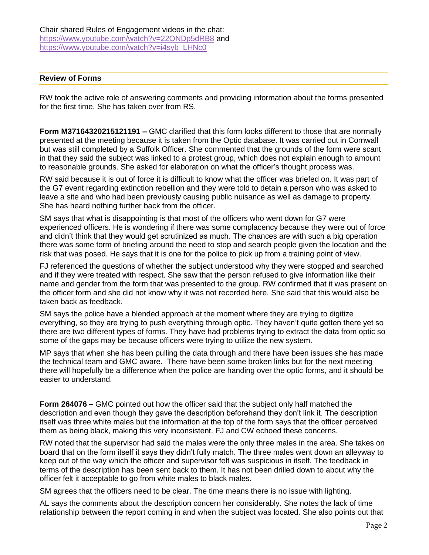#### **Review of Forms**

RW took the active role of answering comments and providing information about the forms presented for the first time. She has taken over from RS.

**Form M37164320215121191 –** GMC clarified that this form looks different to those that are normally presented at the meeting because it is taken from the Optic database. It was carried out in Cornwall but was still completed by a Suffolk Officer. She commented that the grounds of the form were scant in that they said the subject was linked to a protest group, which does not explain enough to amount to reasonable grounds. She asked for elaboration on what the officer's thought process was.

RW said because it is out of force it is difficult to know what the officer was briefed on. It was part of the G7 event regarding extinction rebellion and they were told to detain a person who was asked to leave a site and who had been previously causing public nuisance as well as damage to property. She has heard nothing further back from the officer.

SM says that what is disappointing is that most of the officers who went down for G7 were experienced officers. He is wondering if there was some complacency because they were out of force and didn't think that they would get scrutinized as much. The chances are with such a big operation there was some form of briefing around the need to stop and search people given the location and the risk that was posed. He says that it is one for the police to pick up from a training point of view.

FJ referenced the questions of whether the subject understood why they were stopped and searched and if they were treated with respect. She saw that the person refused to give information like their name and gender from the form that was presented to the group. RW confirmed that it was present on the officer form and she did not know why it was not recorded here. She said that this would also be taken back as feedback.

SM says the police have a blended approach at the moment where they are trying to digitize everything, so they are trying to push everything through optic. They haven't quite gotten there yet so there are two different types of forms. They have had problems trying to extract the data from optic so some of the gaps may be because officers were trying to utilize the new system.

MP says that when she has been pulling the data through and there have been issues she has made the technical team and GMC aware. There have been some broken links but for the next meeting there will hopefully be a difference when the police are handing over the optic forms, and it should be easier to understand.

**Form 264076 –** GMC pointed out how the officer said that the subject only half matched the description and even though they gave the description beforehand they don't link it. The description itself was three white males but the information at the top of the form says that the officer perceived them as being black, making this very inconsistent. FJ and CW echoed these concerns.

RW noted that the supervisor had said the males were the only three males in the area. She takes on board that on the form itself it says they didn't fully match. The three males went down an alleyway to keep out of the way which the officer and supervisor felt was suspicious in itself. The feedback in terms of the description has been sent back to them. It has not been drilled down to about why the officer felt it acceptable to go from white males to black males.

SM agrees that the officers need to be clear. The time means there is no issue with lighting.

AL says the comments about the description concern her considerably. She notes the lack of time relationship between the report coming in and when the subject was located. She also points out that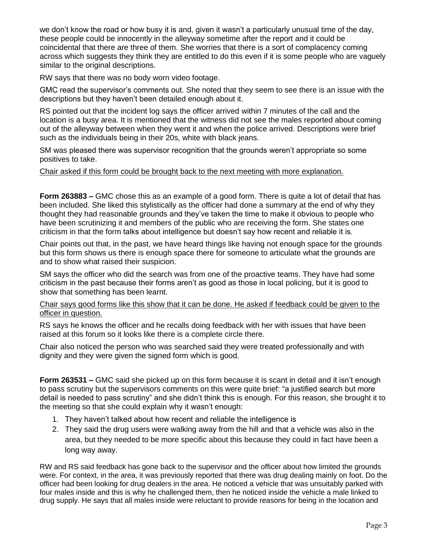we don't know the road or how busy it is and, given it wasn't a particularly unusual time of the day, these people could be innocently in the alleyway sometime after the report and it could be coincidental that there are three of them. She worries that there is a sort of complacency coming across which suggests they think they are entitled to do this even if it is some people who are vaguely similar to the original descriptions.

RW says that there was no body worn video footage.

GMC read the supervisor's comments out. She noted that they seem to see there is an issue with the descriptions but they haven't been detailed enough about it.

RS pointed out that the incident log says the officer arrived within 7 minutes of the call and the location is a busy area. It is mentioned that the witness did not see the males reported about coming out of the alleyway between when they went it and when the police arrived. Descriptions were brief such as the individuals being in their 20s, white with black jeans.

SM was pleased there was supervisor recognition that the grounds weren't appropriate so some positives to take.

#### Chair asked if this form could be brought back to the next meeting with more explanation.

**Form 263883 –** GMC chose this as an example of a good form. There is quite a lot of detail that has been included. She liked this stylistically as the officer had done a summary at the end of why they thought they had reasonable grounds and they've taken the time to make it obvious to people who have been scrutinizing it and members of the public who are receiving the form. She states one criticism in that the form talks about intelligence but doesn't say how recent and reliable it is.

Chair points out that, in the past, we have heard things like having not enough space for the grounds but this form shows us there is enough space there for someone to articulate what the grounds are and to show what raised their suspicion.

SM says the officer who did the search was from one of the proactive teams. They have had some criticism in the past because their forms aren't as good as those in local policing, but it is good to show that something has been learnt.

#### Chair says good forms like this show that it can be done. He asked if feedback could be given to the officer in question.

RS says he knows the officer and he recalls doing feedback with her with issues that have been raised at this forum so it looks like there is a complete circle there.

Chair also noticed the person who was searched said they were treated professionally and with dignity and they were given the signed form which is good.

**Form 263531 –** GMC said she picked up on this form because it is scant in detail and it isn't enough to pass scrutiny but the supervisors comments on this were quite brief: "a justified search but more detail is needed to pass scrutiny" and she didn't think this is enough. For this reason, she brought it to the meeting so that she could explain why it wasn't enough:

- 1. They haven't talked about how recent and reliable the intelligence is
- 2. They said the drug users were walking away from the hill and that a vehicle was also in the area, but they needed to be more specific about this because they could in fact have been a long way away.

RW and RS said feedback has gone back to the supervisor and the officer about how limited the grounds were. For context, in the area, it was previously reported that there was drug dealing mainly on foot. Do the officer had been looking for drug dealers in the area. He noticed a vehicle that was unsuitably parked with four males inside and this is why he challenged them, then he noticed inside the vehicle a male linked to drug supply. He says that all males inside were reluctant to provide reasons for being in the location and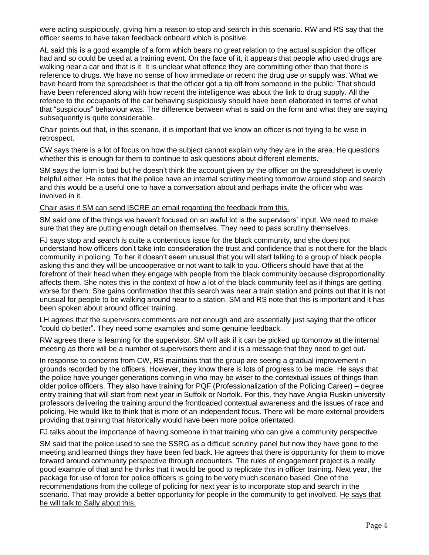were acting suspiciously, giving him a reason to stop and search in this scenario. RW and RS say that the officer seems to have taken feedback onboard which is positive.

AL said this is a good example of a form which bears no great relation to the actual suspicion the officer had and so could be used at a training event. On the face of it, it appears that people who used drugs are walking near a car and that is it. It is unclear what offence they are committing other than that there is reference to drugs. We have no sense of how immediate or recent the drug use or supply was. What we have heard from the spreadsheet is that the officer got a tip off from someone in the public. That should have been referenced along with how recent the intelligence was about the link to drug supply. All the refence to the occupants of the car behaving suspiciously should have been elaborated in terms of what that "suspicious" behaviour was. The difference between what is said on the form and what they are saying subsequently is quite considerable.

Chair points out that, in this scenario, it is important that we know an officer is not trying to be wise in retrospect.

CW says there is a lot of focus on how the subject cannot explain why they are in the area. He questions whether this is enough for them to continue to ask questions about different elements.

SM says the form is bad but he doesn't think the account given by the officer on the spreadsheet is overly helpful either. He notes that the police have an internal scrutiny meeting tomorrow around stop and search and this would be a useful one to have a conversation about and perhaps invite the officer who was involved in it.

Chair asks if SM can send ISCRE an email regarding the feedback from this.

SM said one of the things we haven't focused on an awful lot is the supervisors' input. We need to make sure that they are putting enough detail on themselves. They need to pass scrutiny themselves.

FJ says stop and search is quite a contentious issue for the black community, and she does not understand how officers don't take into consideration the trust and confidence that is not there for the black community in policing. To her it doesn't seem unusual that you will start talking to a group of black people asking this and they will be uncooperative or not want to talk to you. Officers should have that at the forefront of their head when they engage with people from the black community because disproportionality affects them. She notes this in the context of how a lot of the black community feel as if things are getting worse for them. She gains confirmation that this search was near a train station and points out that it is not unusual for people to be walking around near to a station. SM and RS note that this is important and it has been spoken about around officer training.

LH agrees that the supervisors comments are not enough and are essentially just saying that the officer "could do better". They need some examples and some genuine feedback.

RW agrees there is learning for the supervisor. SM will ask if it can be picked up tomorrow at the internal meeting as there will be a number of supervisors there and it is a message that they need to get out.

In response to concerns from CW, RS maintains that the group are seeing a gradual improvement in grounds recorded by the officers. However, they know there is lots of progress to be made. He says that the police have younger generations coming in who may be wiser to the contextual issues of things than older police officers. They also have training for PQF (Professionalization of the Policing Career) – degree entry training that will start from next year in Suffolk or Norfolk. For this, they have Anglia Ruskin university professors delivering the training around the frontloaded contextual awareness and the issues of race and policing. He would like to think that is more of an independent focus. There will be more external providers providing that training that historically would have been more police orientated.

FJ talks about the importance of having someone in that training who can give a community perspective.

SM said that the police used to see the SSRG as a difficult scrutiny panel but now they have gone to the meeting and learned things they have been fed back. He agrees that there is opportunity for them to move forward around community perspective through encounters. The rules of engagement project is a really good example of that and he thinks that it would be good to replicate this in officer training. Next year, the package for use of force for police officers is going to be very much scenario based. One of the recommendations from the college of policing for next year is to incorporate stop and search in the scenario. That may provide a better opportunity for people in the community to get involved. He says that he will talk to Sally about this.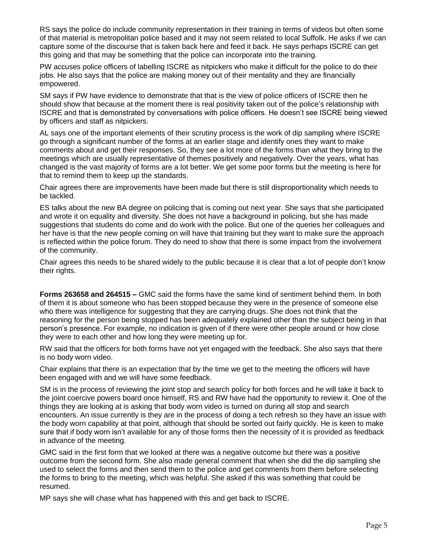RS says the police do include community representation in their training in terms of videos but often some of that material is metropolitan police based and it may not seem related to local Suffolk. He asks if we can capture some of the discourse that is taken back here and feed it back. He says perhaps ISCRE can get this going and that may be something that the police can incorporate into the training.

PW accuses police officers of labelling ISCRE as nitpickers who make it difficult for the police to do their jobs. He also says that the police are making money out of their mentality and they are financially empowered.

SM says if PW have evidence to demonstrate that that is the view of police officers of ISCRE then he should show that because at the moment there is real positivity taken out of the police's relationship with ISCRE and that is demonstrated by conversations with police officers. He doesn't see ISCRE being viewed by officers and staff as nitpickers.

AL says one of the important elements of their scrutiny process is the work of dip sampling where ISCRE go through a significant number of the forms at an earlier stage and identify ones they want to make comments about and get their responses. So, they see a lot more of the forms than what they bring to the meetings which are usually representative of themes positively and negatively. Over the years, what has changed is the vast majority of forms are a lot better. We get some poor forms but the meeting is here for that to remind them to keep up the standards.

Chair agrees there are improvements have been made but there is still disproportionality which needs to be tackled.

ES talks about the new BA degree on policing that is coming out next year. She says that she participated and wrote it on equality and diversity. She does not have a background in policing, but she has made suggestions that students do come and do work with the police. But one of the queries her colleagues and her have is that the new people coming on will have that training but they want to make sure the approach is reflected within the police forum. They do need to show that there is some impact from the involvement of the community.

Chair agrees this needs to be shared widely to the public because it is clear that a lot of people don't know their rights.

**Forms 263658 and 264515 –** GMC said the forms have the same kind of sentiment behind them. In both of them it is about someone who has been stopped because they were in the presence of someone else who there was intelligence for suggesting that they are carrying drugs. She does not think that the reasoning for the person being stopped has been adequately explained other than the subject being in that person's presence. For example, no indication is given of if there were other people around or how close they were to each other and how long they were meeting up for.

RW said that the officers for both forms have not yet engaged with the feedback. She also says that there is no body worn video.

Chair explains that there is an expectation that by the time we get to the meeting the officers will have been engaged with and we will have some feedback.

SM is in the process of reviewing the joint stop and search policy for both forces and he will take it back to the joint coercive powers board once himself, RS and RW have had the opportunity to review it. One of the things they are looking at is asking that body worn video is turned on during all stop and search encounters. An issue currently is they are in the process of doing a tech refresh so they have an issue with the body worn capability at that point, although that should be sorted out fairly quickly. He is keen to make sure that if body worn isn't available for any of those forms then the necessity of it is provided as feedback in advance of the meeting.

GMC said in the first form that we looked at there was a negative outcome but there was a positive outcome from the second form. She also made general comment that when she did the dip sampling she used to select the forms and then send them to the police and get comments from them before selecting the forms to bring to the meeting, which was helpful. She asked if this was something that could be resumed.

MP says she will chase what has happened with this and get back to ISCRE.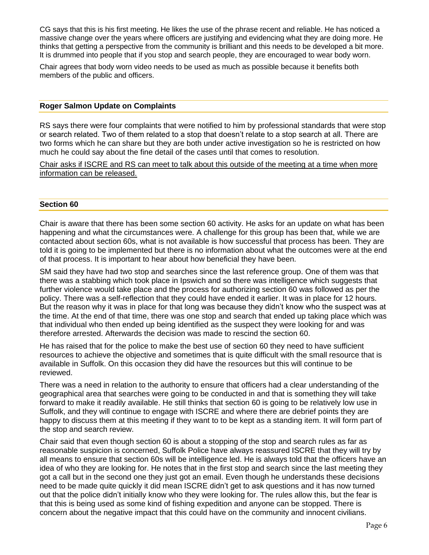CG says that this is his first meeting. He likes the use of the phrase recent and reliable. He has noticed a massive change over the years where officers are justifying and evidencing what they are doing more. He thinks that getting a perspective from the community is brilliant and this needs to be developed a bit more. It is drummed into people that if you stop and search people, they are encouraged to wear body worn.

Chair agrees that body worn video needs to be used as much as possible because it benefits both members of the public and officers.

#### **Roger Salmon Update on Complaints**

RS says there were four complaints that were notified to him by professional standards that were stop or search related. Two of them related to a stop that doesn't relate to a stop search at all. There are two forms which he can share but they are both under active investigation so he is restricted on how much he could say about the fine detail of the cases until that comes to resolution.

Chair asks if ISCRE and RS can meet to talk about this outside of the meeting at a time when more information can be released.

#### **Section 60**

Chair is aware that there has been some section 60 activity. He asks for an update on what has been happening and what the circumstances were. A challenge for this group has been that, while we are contacted about section 60s, what is not available is how successful that process has been. They are told it is going to be implemented but there is no information about what the outcomes were at the end of that process. It is important to hear about how beneficial they have been.

SM said they have had two stop and searches since the last reference group. One of them was that there was a stabbing which took place in Ipswich and so there was intelligence which suggests that further violence would take place and the process for authorizing section 60 was followed as per the policy. There was a self-reflection that they could have ended it earlier. It was in place for 12 hours. But the reason why it was in place for that long was because they didn't know who the suspect was at the time. At the end of that time, there was one stop and search that ended up taking place which was that individual who then ended up being identified as the suspect they were looking for and was therefore arrested. Afterwards the decision was made to rescind the section 60.

He has raised that for the police to make the best use of section 60 they need to have sufficient resources to achieve the objective and sometimes that is quite difficult with the small resource that is available in Suffolk. On this occasion they did have the resources but this will continue to be reviewed.

There was a need in relation to the authority to ensure that officers had a clear understanding of the geographical area that searches were going to be conducted in and that is something they will take forward to make it readily available. He still thinks that section 60 is going to be relatively low use in Suffolk, and they will continue to engage with ISCRE and where there are debrief points they are happy to discuss them at this meeting if they want to to be kept as a standing item. It will form part of the stop and search review.

Chair said that even though section 60 is about a stopping of the stop and search rules as far as reasonable suspicion is concerned, Suffolk Police have always reassured ISCRE that they will try by all means to ensure that section 60s will be intelligence led. He is always told that the officers have an idea of who they are looking for. He notes that in the first stop and search since the last meeting they got a call but in the second one they just got an email. Even though he understands these decisions need to be made quite quickly it did mean ISCRE didn't get to ask questions and it has now turned out that the police didn't initially know who they were looking for. The rules allow this, but the fear is that this is being used as some kind of fishing expedition and anyone can be stopped. There is concern about the negative impact that this could have on the community and innocent civilians.